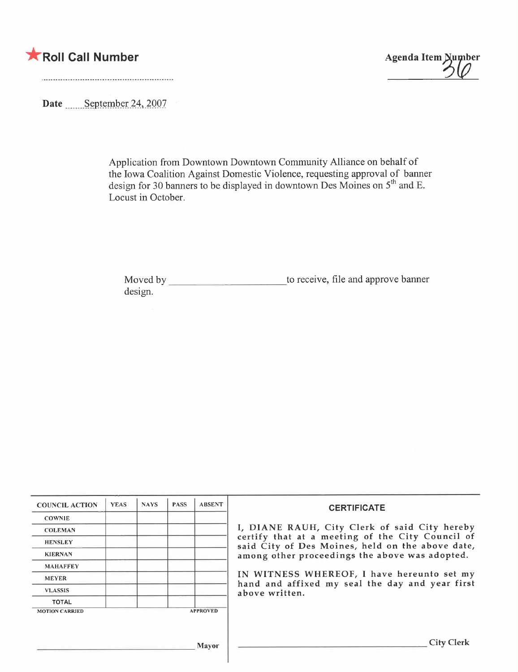



Date September 24, 2007

Application from Downtown Downtown Community Alliance on behalf of the Iowa Coalition Against Domestic Violence, requesting approval of banner design for 30 banners to be displayed in downtown Des Moines on  $5^{\circ\circ}$  and E. Locust in October.

Moved by \_\_\_\_\_\_\_\_\_\_\_\_\_\_\_\_\_\_\_\_\_\_\_\_\_\_\_\_\_\_to receive, file and approve banner design.

| <b>COUNCIL ACTION</b> | <b>YEAS</b> | <b>NAYS</b> | <b>PASS</b> | <b>ABSENT</b>   | <b>CERTIFICATE</b>                                                                                                                                                                                      |  |  |
|-----------------------|-------------|-------------|-------------|-----------------|---------------------------------------------------------------------------------------------------------------------------------------------------------------------------------------------------------|--|--|
| <b>COWNIE</b>         |             |             |             |                 |                                                                                                                                                                                                         |  |  |
| <b>COLEMAN</b>        |             |             |             |                 | I, DIANE RAUH, City Clerk of said City hereby<br>certify that at a meeting of the City Council of<br>said City of Des Moines, held on the above date,<br>among other proceedings the above was adopted. |  |  |
| <b>HENSLEY</b>        |             |             |             |                 |                                                                                                                                                                                                         |  |  |
| <b>KIERNAN</b>        |             |             |             |                 |                                                                                                                                                                                                         |  |  |
| <b>MAHAFFEY</b>       |             |             |             |                 |                                                                                                                                                                                                         |  |  |
| <b>MEYER</b>          |             |             |             |                 | IN WITNESS WHEREOF, I have hereunto set my<br>hand and affixed my seal the day and year first<br>above written.                                                                                         |  |  |
| <b>VLASSIS</b>        |             |             |             |                 |                                                                                                                                                                                                         |  |  |
| <b>TOTAL</b>          |             |             |             |                 |                                                                                                                                                                                                         |  |  |
| <b>MOTION CARRIED</b> |             |             |             | <b>APPROVED</b> |                                                                                                                                                                                                         |  |  |
| <b>Mayor</b>          |             |             |             |                 | City Clerk                                                                                                                                                                                              |  |  |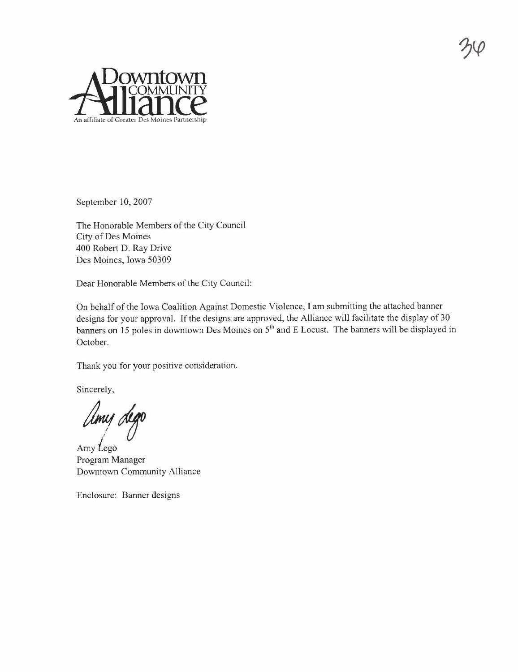

September 10, 2007

The Honorable Members of the City Council City of Des Moines 400 Robert D. Ray Drive Des Moines, Iowa 50309

Dear Honorable Members of the City Council:

On behalf of the Iowa Coalition Against Domestic Violence, I am submitting the attached banner designs for your approval. If the designs are approved, the Alliance will facilitate the display of 30 banners on 15 poles in downtown Des Moines on 5<sup>th</sup> and E Locust. The banners will be displayed in October.

Thank you for your positive consideration.

Sincerely,

Umy dego

Amy  $Lego$ Program Manager Downtown Community Alliance

Enclosure: Banner designs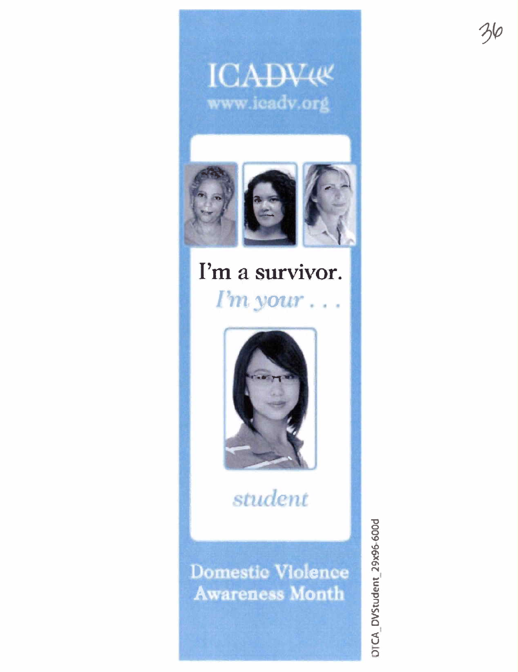



### I'm a survivor. I'm your.



student

**Domestic Violence Awareness Month** 

DICA\_DVStudent\_29x96-600d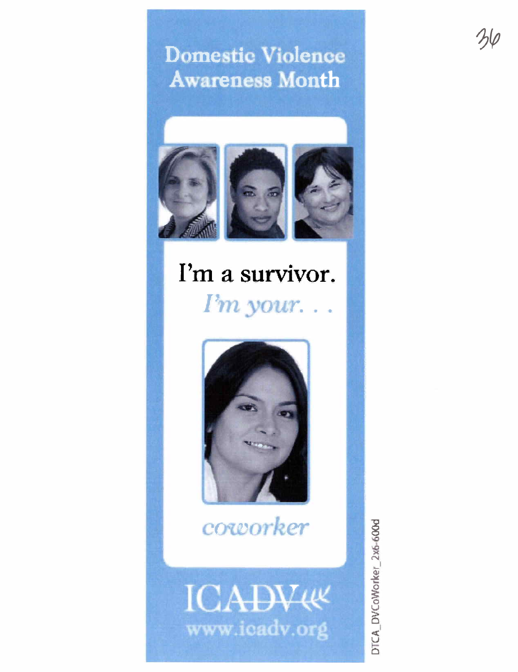#### **Domestic Violence Awareness Month**



# I'm a survivor.

 $Pm$  your...



coworker



DTCA\_DVCoWorker\_2x6-600d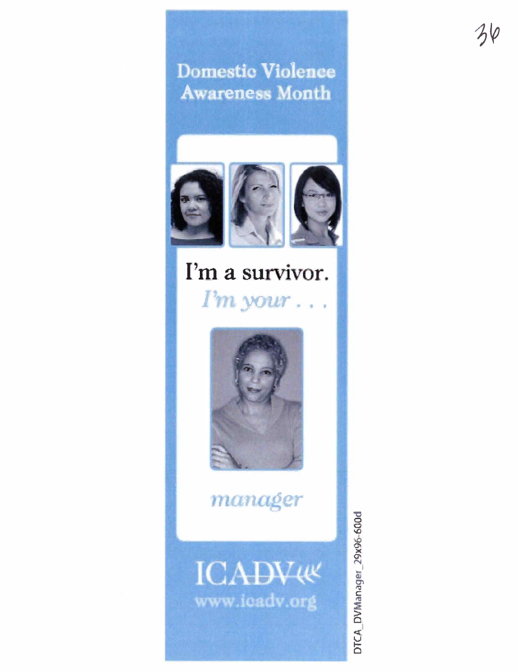**Domestic Violence Awareness Month** 



## I'm a survivor. I'm your...



manager



DTCA\_DVManager\_29x96-600d